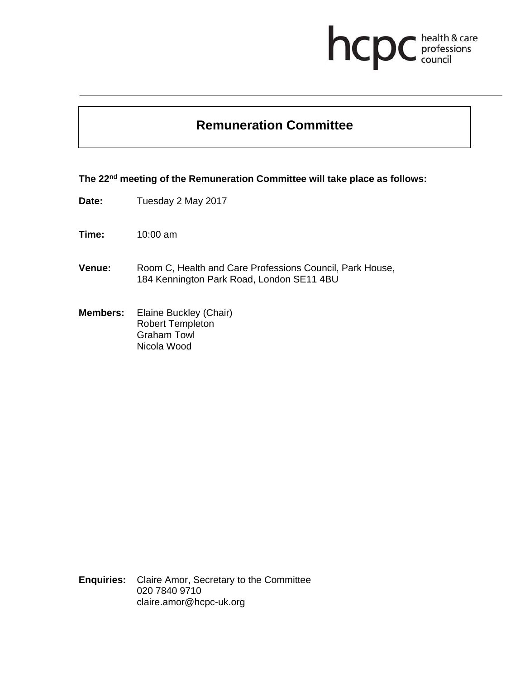## health & care<br>professions<br>council hcp

## **Remuneration Committee**

**The 22nd meeting of the Remuneration Committee will take place as follows:** 

- **Date:** Tuesday 2 May 2017
- **Time:** 10:00 am
- **Venue:** Room C, Health and Care Professions Council, Park House, 184 Kennington Park Road, London SE11 4BU
- **Members:** Elaine Buckley (Chair) Robert Templeton Graham Towl Nicola Wood

**Enquiries:** Claire Amor, Secretary to the Committee 020 7840 9710 claire.amor@hcpc-uk.org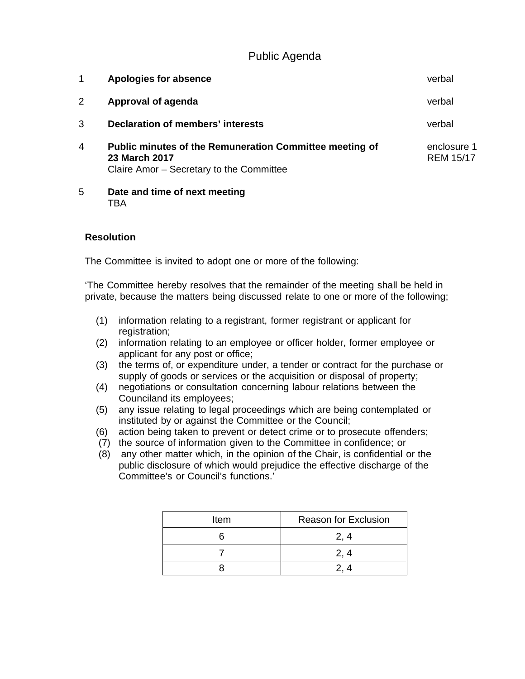Public Agenda

| 1 | Apologies for absence                                                                                                              | verbal                          |
|---|------------------------------------------------------------------------------------------------------------------------------------|---------------------------------|
|   | Approval of agenda                                                                                                                 | verbal                          |
| 3 | Declaration of members' interests                                                                                                  | verbal                          |
| 4 | <b>Public minutes of the Remuneration Committee meeting of</b><br><b>23 March 2017</b><br>Claire Amor - Secretary to the Committee | enclosure 1<br><b>REM 15/17</b> |
| 5 | Date and time of next meeting                                                                                                      |                                 |

TBA

## **Resolution**

The Committee is invited to adopt one or more of the following:

'The Committee hereby resolves that the remainder of the meeting shall be held in private, because the matters being discussed relate to one or more of the following;

- (1) information relating to a registrant, former registrant or applicant for registration;
- (2) information relating to an employee or officer holder, former employee or applicant for any post or office;
- (3) the terms of, or expenditure under, a tender or contract for the purchase or supply of goods or services or the acquisition or disposal of property;
- (4) negotiations or consultation concerning labour relations between the Counciland its employees;
- (5) any issue relating to legal proceedings which are being contemplated or instituted by or against the Committee or the Council;
- (6) action being taken to prevent or detect crime or to prosecute offenders;
- (7) the source of information given to the Committee in confidence; or
- (8) any other matter which, in the opinion of the Chair, is confidential or the public disclosure of which would prejudice the effective discharge of the Committee's or Council's functions.'

| Item | <b>Reason for Exclusion</b> |
|------|-----------------------------|
|      | 2, 4                        |
|      | 2, 4                        |
|      |                             |